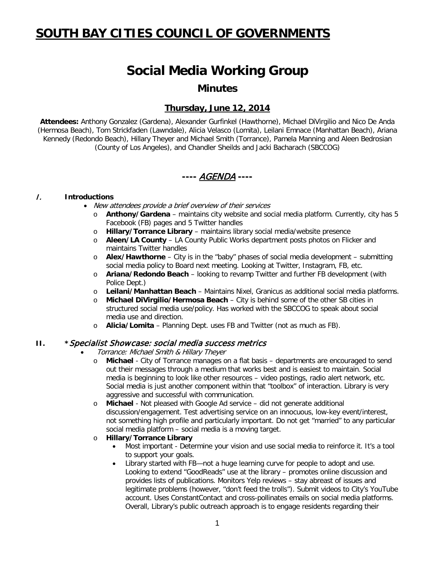## **SOUTH BAY CITIES COUNCIL OF GOVERNMENTS**

# **Social Media Working Group**

### **Minutes**

### **Thursday, June 12, 2014**

**Attendees:** Anthony Gonzalez (Gardena), Alexander Gurfinkel (Hawthorne), Michael DiVirgilio and Nico De Anda (Hermosa Beach), Tom Strickfaden (Lawndale), Alicia Velasco (Lomita), Leilani Emnace (Manhattan Beach), Ariana Kennedy (Redondo Beach), Hillary Theyer and Michael Smith (Torrance), Pamela Manning and Aleen Bedrosian (County of Los Angeles), and Chandler Sheilds and Jacki Bacharach (SBCCOG)

## **----** AGENDA **----**

#### I. **Introductions**

- New attendees provide a brief overview of their services
	- o **Anthony/Gardena** maintains city website and social media platform. Currently, city has 5 Facebook (FB) pages and 5 Twitter handles
	- o **Hillary/Torrance Library** maintains library social media/website presence
	- o **Aleen/LA County** LA County Public Works department posts photos on Flicker and maintains Twitter handles
	- o **Alex/Hawthorne** City is in the "baby" phases of social media development submitting social media policy to Board next meeting. Looking at Twitter, Instagram, FB, etc.
	- o **Ariana/Redondo Beach** looking to revamp Twitter and further FB development (with Police Dept.)
	- o **Leilani/Manhattan Beach** Maintains Nixel, Granicus as additional social media platforms.
	- o **Michael DiVirgilio/Hermosa Beach** City is behind some of the other SB cities in structured social media use/policy. Has worked with the SBCCOG to speak about social media use and direction.
	- o **Alicia/Lomita** Planning Dept. uses FB and Twitter (not as much as FB).

#### **II. \***Specialist Showcase: social media success metrics

- Torrance: Michael Smith & Hillary Theyer
	- o **Michael** City of Torrance manages on a flat basis departments are encouraged to send out their messages through a medium that works best and is easiest to maintain. Social media is beginning to look like other resources – video postings, radio alert network, etc. Social media is just another component within that "toolbox" of interaction. Library is very aggressive and successful with communication.
	- o **Michael** Not pleased with Google Ad service did not generate additional discussion/engagement. Test advertising service on an innocuous, low-key event/interest, not something high profile and particularly important. Do not get "married" to any particular social media platform – social media is a moving target.
	- o **Hillary/Torrance Library**
		- Most important Determine your vision and use social media to reinforce it. It's a tool to support your goals.
		- Library started with FB—not a huge learning curve for people to adopt and use. Looking to extend "GoodReads" use at the library – promotes online discussion and provides lists of publications. Monitors Yelp reviews – stay abreast of issues and legitimate problems (however, "don't feed the trolls"). Submit videos to City's YouTube account. Uses ConstantContact and cross-pollinates emails on social media platforms. Overall, Library's public outreach approach is to engage residents regarding their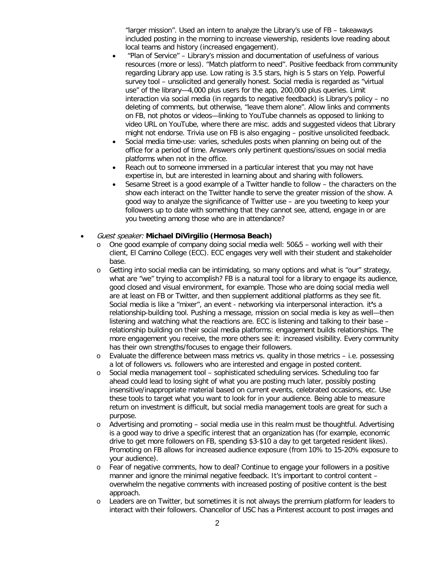"larger mission". Used an intern to analyze the Library's use of FB – takeaways included posting in the morning to increase viewership, residents love reading about local teams and history (increased engagement).

- "Plan of Service" Library's mission and documentation of usefulness of various resources (more or less). "Match platform to need". Positive feedback from community regarding Library app use. Low rating is 3.5 stars, high is 5 stars on Yelp. Powerful survey tool – unsolicited and generally honest. Social media is regarded as "virtual use" of the library—4,000 plus users for the app, 200,000 plus queries. Limit interaction via social media (in regards to negative feedback) is Library's policy – no deleting of comments, but otherwise, "leave them alone". Allow links and comments on FB, not photos or videos—linking to YouTube channels as opposed to linking to video URL on YouTube, where there are misc. adds and suggested videos that Library might not endorse. Trivia use on FB is also engaging – positive unsolicited feedback.
- Social media time-use: varies, schedules posts when planning on being out of the office for a period of time. Answers only pertinent questions/issues on social media platforms when not in the office.
- Reach out to someone immersed in a particular interest that you may not have expertise in, but are interested in learning about and sharing with followers.
- Sesame Street is a good example of a Twitter handle to follow the characters on the show each interact on the Twitter handle to serve the greater mission of the show. A good way to analyze the significance of Twitter use – are you tweeting to keep your followers up to date with something that they cannot see, attend, engage in or are you tweeting among those who are in attendance?

#### • Guest speaker: **Michael DiVirgilio (Hermosa Beach)**

- o One good example of company doing social media well: 50&5 working well with their client, El Camino College (ECC). ECC engages very well with their student and stakeholder base.
- o Getting into social media can be intimidating, so many options and what is "our" strategy, what are "we" trying to accomplish? FB is a natural tool for a library to engage its audience, good closed and visual environment, for example. Those who are doing social media well are at least on FB or Twitter, and then supplement additional platforms as they see fit. Social media is like a "mixer", an event - networking via interpersonal interaction. it**'**s a relationship-building tool. Pushing a message, mission on social media is key as well—then listening and watching what the reactions are. ECC is listening and talking to their base – relationship building on their social media platforms: engagement builds relationships. The more engagement you receive, the more others see it: increased visibility. Every community has their own strengths/focuses to engage their followers.
- $\circ$  Evaluate the difference between mass metrics vs. quality in those metrics i.e. possessing a lot of followers vs. followers who are interested and engage in posted content.
- o Social media management tool sophisticated scheduling services. Scheduling too far ahead could lead to losing sight of what you are posting much later, possibly posting insensitive/inappropriate material based on current events, celebrated occasions, etc. Use these tools to target what you want to look for in your audience. Being able to measure return on investment is difficult, but social media management tools are great for such a purpose.
- o Advertising and promoting social media use in this realm must be thoughtful. Advertising is a good way to drive a specific interest that an organization has (for example, economic drive to get more followers on FB, spending \$3-\$10 a day to get targeted resident likes). Promoting on FB allows for increased audience exposure (from 10% to 15-20% exposure to your audience).
- o Fear of negative comments, how to deal? Continue to engage your followers in a positive manner and ignore the minimal negative feedback. It's important to control content – overwhelm the negative comments with increased posting of positive content is the best approach.
- o Leaders are on Twitter, but sometimes it is not always the premium platform for leaders to interact with their followers. Chancellor of USC has a Pinterest account to post images and